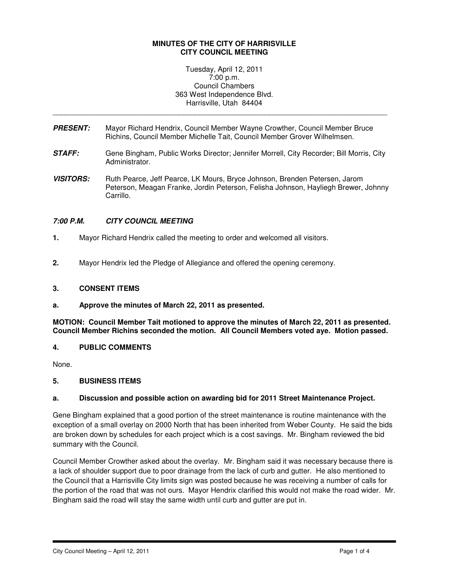### **MINUTES OF THE CITY OF HARRISVILLE CITY COUNCIL MEETING**

Tuesday, April 12, 2011 7:00 p.m. Council Chambers 363 West Independence Blvd. Harrisville, Utah 84404

\_\_\_\_\_\_\_\_\_\_\_\_\_\_\_\_\_\_\_\_\_\_\_\_\_\_\_\_\_\_\_\_\_\_\_\_\_\_\_\_\_\_\_\_\_\_\_\_\_\_\_\_\_\_\_\_\_\_\_\_\_\_\_\_\_\_\_\_\_\_\_\_\_\_\_\_\_\_\_\_\_\_

- **PRESENT:** Mayor Richard Hendrix, Council Member Wayne Crowther, Council Member Bruce Richins, Council Member Michelle Tait, Council Member Grover Wilhelmsen.
- **STAFF:** Gene Bingham, Public Works Director; Jennifer Morrell, City Recorder; Bill Morris, City Administrator.
- **VISITORS:** Ruth Pearce, Jeff Pearce, LK Mours, Bryce Johnson, Brenden Petersen, Jarom Peterson, Meagan Franke, Jordin Peterson, Felisha Johnson, Hayliegh Brewer, Johnny Carrillo.

### **7:00 P.M. CITY COUNCIL MEETING**

- **1.** Mayor Richard Hendrix called the meeting to order and welcomed all visitors.
- **2.** Mayor Hendrix led the Pledge of Allegiance and offered the opening ceremony.

#### **3. CONSENT ITEMS**

**a. Approve the minutes of March 22, 2011 as presented.** 

**MOTION: Council Member Tait motioned to approve the minutes of March 22, 2011 as presented. Council Member Richins seconded the motion. All Council Members voted aye. Motion passed.** 

#### **4. PUBLIC COMMENTS**

None.

#### **5. BUSINESS ITEMS**

#### **a. Discussion and possible action on awarding bid for 2011 Street Maintenance Project.**

Gene Bingham explained that a good portion of the street maintenance is routine maintenance with the exception of a small overlay on 2000 North that has been inherited from Weber County. He said the bids are broken down by schedules for each project which is a cost savings. Mr. Bingham reviewed the bid summary with the Council.

Council Member Crowther asked about the overlay. Mr. Bingham said it was necessary because there is a lack of shoulder support due to poor drainage from the lack of curb and gutter. He also mentioned to the Council that a Harrisville City limits sign was posted because he was receiving a number of calls for the portion of the road that was not ours. Mayor Hendrix clarified this would not make the road wider. Mr. Bingham said the road will stay the same width until curb and gutter are put in.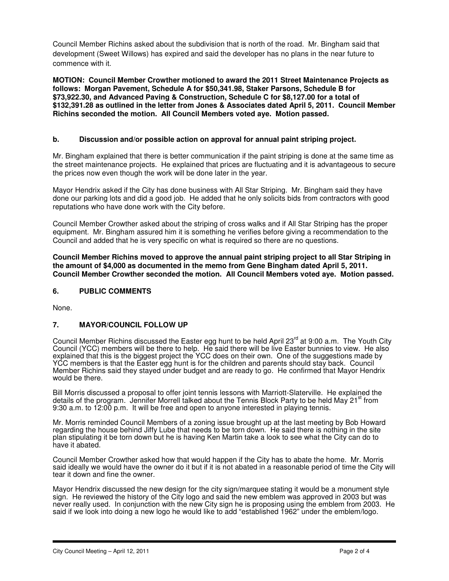Council Member Richins asked about the subdivision that is north of the road. Mr. Bingham said that development (Sweet Willows) has expired and said the developer has no plans in the near future to commence with it.

**MOTION: Council Member Crowther motioned to award the 2011 Street Maintenance Projects as follows: Morgan Pavement, Schedule A for \$50,341.98, Staker Parsons, Schedule B for \$73,922.30, and Advanced Paving & Construction, Schedule C for \$8,127.00 for a total of \$132,391.28 as outlined in the letter from Jones & Associates dated April 5, 2011. Council Member Richins seconded the motion. All Council Members voted aye. Motion passed.** 

## **b. Discussion and/or possible action on approval for annual paint striping project.**

Mr. Bingham explained that there is better communication if the paint striping is done at the same time as the street maintenance projects. He explained that prices are fluctuating and it is advantageous to secure the prices now even though the work will be done later in the year.

Mayor Hendrix asked if the City has done business with All Star Striping. Mr. Bingham said they have done our parking lots and did a good job. He added that he only solicits bids from contractors with good reputations who have done work with the City before.

Council Member Crowther asked about the striping of cross walks and if All Star Striping has the proper equipment. Mr. Bingham assured him it is something he verifies before giving a recommendation to the Council and added that he is very specific on what is required so there are no questions.

**Council Member Richins moved to approve the annual paint striping project to all Star Striping in the amount of \$4,000 as documented in the memo from Gene Bingham dated April 5, 2011. Council Member Crowther seconded the motion. All Council Members voted aye. Motion passed.** 

### **6. PUBLIC COMMENTS**

None.

### **7. MAYOR/COUNCIL FOLLOW UP**

Council Member Richins discussed the Easter egg hunt to be held April 23<sup>rd</sup> at 9:00 a.m. The Youth City Council (YCC) members will be there to help. He said there will be live Easter bunnies to view. He also explained that this is the biggest project the YCC does on their own. One of the suggestions made by YCC members is that the Easter egg hunt is for the children and parents should stay back. Council Member Richins said they stayed under budget and are ready to go. He confirmed that Mayor Hendrix would be there.

Bill Morris discussed a proposal to offer joint tennis lessons with Marriott-Slaterville. He explained the details of the program. Jennifer Morrell talked about the Tennis Block Party to be held May 21<sup>st</sup> from 9:30 a.m. to 12:00 p.m. It will be free and open to anyone interested in playing tennis.

Mr. Morris reminded Council Members of a zoning issue brought up at the last meeting by Bob Howard regarding the house behind Jiffy Lube that needs to be torn down. He said there is nothing in the site plan stipulating it be torn down but he is having Ken Martin take a look to see what the City can do to have it abated.

Council Member Crowther asked how that would happen if the City has to abate the home. Mr. Morris said ideally we would have the owner do it but if it is not abated in a reasonable period of time the City will tear it down and fine the owner.

Mayor Hendrix discussed the new design for the city sign/marquee stating it would be a monument style sign. He reviewed the history of the City logo and said the new emblem was approved in 2003 but was never really used. In conjunction with the new City sign he is proposing using the emblem from 2003. He said if we look into doing a new logo he would like to add "established 1962" under the emblem/logo.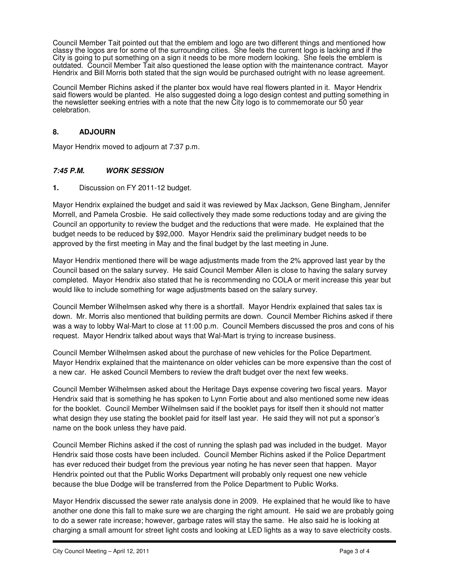Council Member Tait pointed out that the emblem and logo are two different things and mentioned how classy the logos are for some of the surrounding cities. She feels the current logo is lacking and if the City is going to put something on a sign it needs to be more modern looking. She feels the emblem is outdated. Council Member Tait also questioned the lease option with the maintenance contract. Mayor Hendrix and Bill Morris both stated that the sign would be purchased outright with no lease agreement.

Council Member Richins asked if the planter box would have real flowers planted in it. Mayor Hendrix said flowers would be planted. He also suggested doing a logo design contest and putting something in the newsletter seeking entries with a note that the new City logo is to commemorate our 50 year celebration.

# **8. ADJOURN**

Mayor Hendrix moved to adjourn at 7:37 p.m.

### **7:45 P.M. WORK SESSION**

**1.** Discussion on FY 2011-12 budget.

Mayor Hendrix explained the budget and said it was reviewed by Max Jackson, Gene Bingham, Jennifer Morrell, and Pamela Crosbie. He said collectively they made some reductions today and are giving the Council an opportunity to review the budget and the reductions that were made. He explained that the budget needs to be reduced by \$92,000. Mayor Hendrix said the preliminary budget needs to be approved by the first meeting in May and the final budget by the last meeting in June.

Mayor Hendrix mentioned there will be wage adjustments made from the 2% approved last year by the Council based on the salary survey. He said Council Member Allen is close to having the salary survey completed. Mayor Hendrix also stated that he is recommending no COLA or merit increase this year but would like to include something for wage adjustments based on the salary survey.

Council Member Wilhelmsen asked why there is a shortfall. Mayor Hendrix explained that sales tax is down. Mr. Morris also mentioned that building permits are down. Council Member Richins asked if there was a way to lobby Wal-Mart to close at 11:00 p.m. Council Members discussed the pros and cons of his request. Mayor Hendrix talked about ways that Wal-Mart is trying to increase business.

Council Member Wilhelmsen asked about the purchase of new vehicles for the Police Department. Mayor Hendrix explained that the maintenance on older vehicles can be more expensive than the cost of a new car. He asked Council Members to review the draft budget over the next few weeks.

Council Member Wilhelmsen asked about the Heritage Days expense covering two fiscal years. Mayor Hendrix said that is something he has spoken to Lynn Fortie about and also mentioned some new ideas for the booklet. Council Member Wilhelmsen said if the booklet pays for itself then it should not matter what design they use stating the booklet paid for itself last year. He said they will not put a sponsor's name on the book unless they have paid.

Council Member Richins asked if the cost of running the splash pad was included in the budget. Mayor Hendrix said those costs have been included. Council Member Richins asked if the Police Department has ever reduced their budget from the previous year noting he has never seen that happen. Mayor Hendrix pointed out that the Public Works Department will probably only request one new vehicle because the blue Dodge will be transferred from the Police Department to Public Works.

Mayor Hendrix discussed the sewer rate analysis done in 2009. He explained that he would like to have another one done this fall to make sure we are charging the right amount. He said we are probably going to do a sewer rate increase; however, garbage rates will stay the same. He also said he is looking at charging a small amount for street light costs and looking at LED lights as a way to save electricity costs.